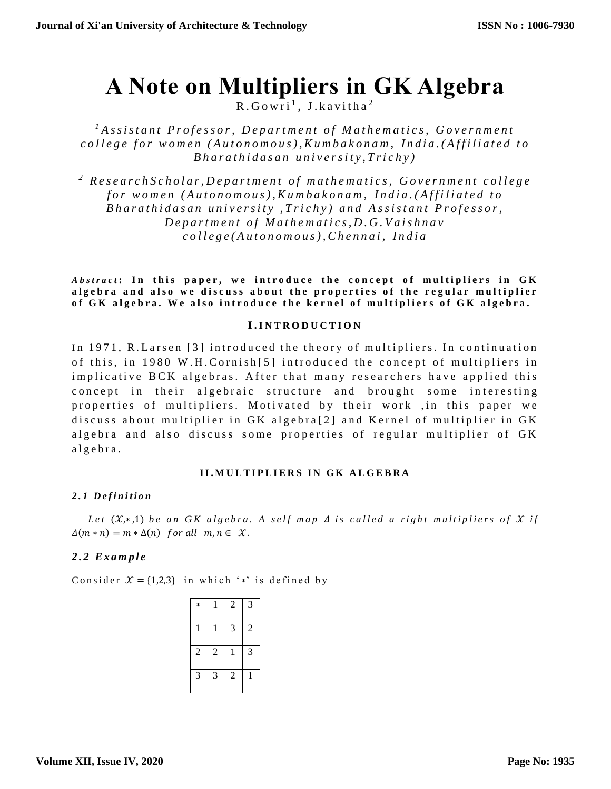# **A Note on Multipliers in GK Algebra**

 $R.Gowri<sup>1</sup>, J.kavitha<sup>2</sup>$ 

<sup>*1*</sup> *Assistant Professor, Department of Mathematics, Government c o l l e g e f o r w o m e n ( A u t o n o m o u s ) , K u m b a k o n a m , I n d i a .( A f f i l i a t e d t o B h a r a t h i d a s a n u n i v e r s i t y , T r i c h y )*

<sup>2</sup> Research Scholar, Department of mathematics, Government college *f o r w o m e n ( A u t o n o m o u s ) , K u m b a k o n a m , I n d i a . ( A f f i l i a t e d t o Bharathidasan university, Trichy) and Assistant Professor, D e p a r t m e n t o f M a t h e m a t i c s , D . G . V a i s h n a v c o l l e g e ( A u t o n o m o u s ) , C h e n n a i , I n d i a*

*Abstract*: In this paper, we introduce the concept of multipliers in GK algebra and also we discuss about the properties of the regular multiplier of GK algebra. We also introduce the kernel of multipliers of GK algebra.

# **I . I N T R O D U C T I O N**

In 1971, R. Larsen [3] introduced the theory of multipliers. In continuation of this, in 1980 W.H.Cornish[5] introduced the concept of multipliers in implicative BCK algebras. After that many researchers have applied this concept in their algebraic structure and brought some interesting properties of multipliers. Motivated by their work , in this paper we discuss about multiplier in  $GK$  algebra [2] and Kernel of multiplier in  $GK$ algebra and also discuss some properties of regular multiplier of GK a l g e b r a .

## **I I . M U L T I P L I E R S I N G K A L G E B R A**

# *2 . 1 D e f i n i t i o n*

*Let*  $(X, * , 1)$  *be an GK algebra. A self map*  $\Delta$  *is called a right multipliers of*  $X$  *if*  $\Delta(m*n) = m*\Delta(n)$  for all  $m, n \in \mathcal{X}$ .

# *2.2 E x a m p l e*

Consider  $\mathcal{X} = \{1,2,3\}$  in which '\*' is defined by

| *              |                | 2              | 3              |
|----------------|----------------|----------------|----------------|
| 1              | 1              | 3              | $\overline{c}$ |
| $\overline{2}$ | $\mathfrak{2}$ | 1              | 3              |
| 3              | 3              | $\overline{2}$ | 1              |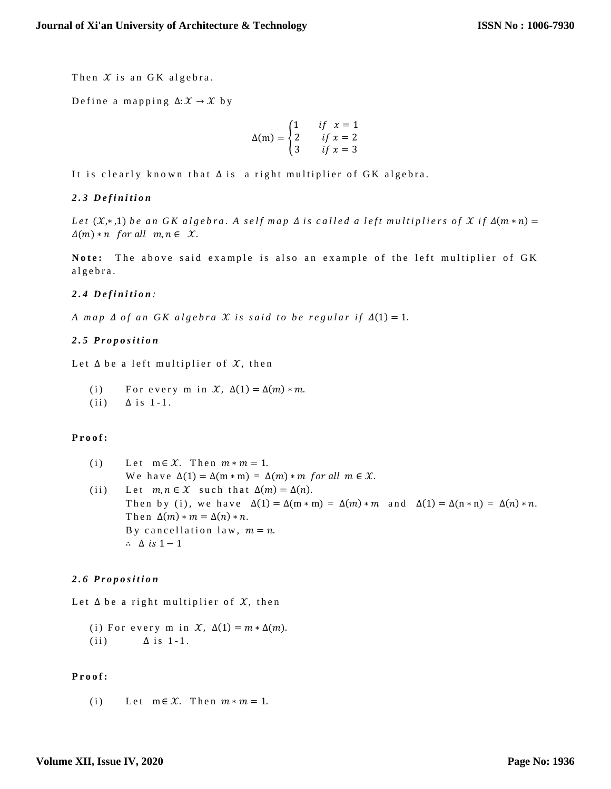Then  $X$  is an GK algebra.

Define a mapping  $\Delta: \mathcal{X} \to \mathcal{X}$  by

$$
\Delta(m) = \begin{cases} 1 & \text{if } x = 1 \\ 2 & \text{if } x = 2 \\ 3 & \text{if } x = 3 \end{cases}
$$

It is clearly known that  $\Delta$  is a right multiplier of GK algebra.

## *2 . 3 D e f i n i t i o n*

*Let*  $(X, *1)$  *be an GK algebra. A self map*  $\Delta$  *is called a left multipliers of*  $X$  *if*  $\Delta(m*n)$  =  $\Delta(m) * n$  for all  $m, n \in \mathcal{X}$ .

Note: The above said example is also an example of the left multiplier of GK a l g e b r a .

## *2 . 4 D e f i n i t i o n :*

*A* map  $\Delta$  of an GK algebra  $\mathcal X$  is said to be regular if  $\Delta(1) = 1$ .

## *2 . 5 P r o p o s i t i o n*

Let  $\Delta$  be a left multiplier of  $\mathcal{X}$ , then

- (i) For every m in  $\mathcal{X}, \Delta(1) = \Delta(m) * m$ .
- $(iii)$   $\Delta$  is 1-1.

## **P r o o f :**

(i) Let  $m \in \mathcal{X}$ . Then  $m * m = 1$ . We have  $\Delta(1) = \Delta(m * m) = \Delta(m) * m$  for all  $m \in \mathcal{X}$ . (ii) Let  $m, n \in \mathcal{X}$  such that  $\Delta(m) = \Delta(n)$ . Then by (i), we have  $\Delta(1) = \Delta(m * m) = \Delta(m) * m$  and  $\Delta(1) = \Delta(n * n) = \Delta(n) * n$ . Then  $\Delta(m) * m = \Delta(n) * n$ . By cancellation law,  $m = n$ . ∴  $\Delta$  is  $1-1$ 

## *2 . 6 P r o p o s i t i o n*

Let  $\Delta$  be a right multiplier of  $\mathcal{X}$ , then

(i) For every m in  $\mathcal{X}, \Delta(1) = m * \Delta(m)$ . (ii)  $\Delta$  is 1-1.

## **P r o o f :**

(i) Let  $m \in \mathcal{X}$ . Then  $m * m = 1$ .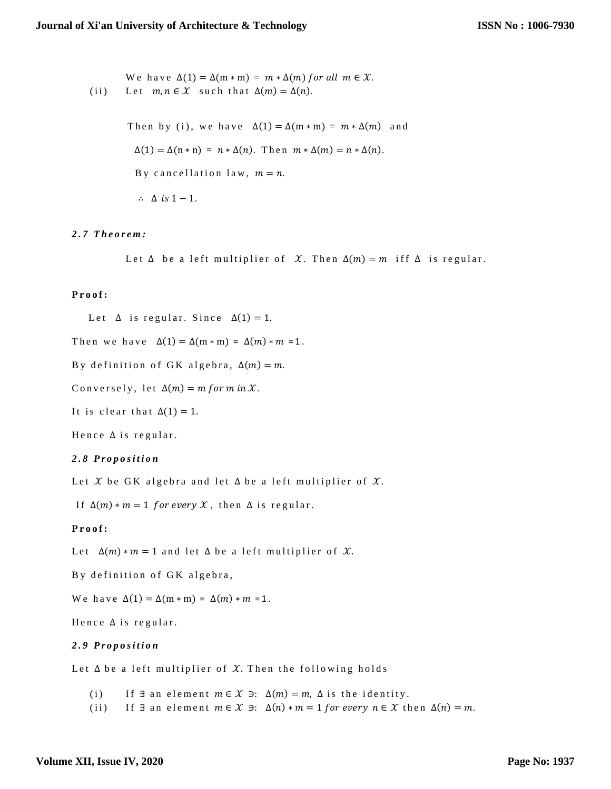We have  $\Delta(1) = \Delta(m * m) = m * \Delta(m)$  for all  $m \in \mathcal{X}$ . (ii) Let  $m, n \in \mathcal{X}$  such that  $\Delta(m) = \Delta(n)$ .

Then by (i), we have  $\Delta(1) = \Delta(m*m) = m*\Delta(m)$  and  $\Delta(1) = \Delta(n * n) = n * \Delta(n)$ . Then  $m * \Delta(m) = n * \Delta(n)$ . By cancellation law,  $m = n$ . ∴  $\Delta$  is  $1 - 1$ .

#### *2 . 7 T h e o r e m :*

Let  $\Delta$  be a left multiplier of  $\mathcal{X}$ . Then  $\Delta(m) = m$  iff  $\Delta$  is regular.

#### Proof:

Let  $\Delta$  is regular. Since  $\Delta(1) = 1$ .

Then we have  $\Delta(1) = \Delta(m * m) = \Delta(m) * m = 1$ .

By definition of GK algebra,  $\Delta(m) = m$ .

Conversely, let  $\Delta(m) = m$  for m in X.

It is clear that  $\Delta(1) = 1$ .

Hence  $\Delta$  is regular.

#### *2 . 8 P r o p o s i t i o n*

Let  $\mathcal X$  be GK algebra and let  $\Delta$  be a left multiplier of  $\mathcal X$ .

If  $\Delta(m) * m = 1$  for every X, then  $\Delta$  is regular.

#### Proof:

Let  $\Delta(m) * m = 1$  and let  $\Delta$  be a left multiplier of X.

By definition of GK algebra,

We have  $\Delta(1) = \Delta(m * m) = \Delta(m) * m = 1$ .

Hence  $\Delta$  is regular.

#### *2 . 9 P r o p o s i t i o n*

Let  $\Delta$  be a left multiplier of  $\mathcal X$ . Then the following holds

(i) If  $\exists$  an element  $m \in \mathcal{X}$   $\ni: \Delta(m) = m$ ,  $\Delta$  is the identity.

(ii) If  $\exists$  an element  $m \in \mathcal{X}$   $\exists$ :  $\Delta(n) * m = 1$  for every  $n \in \mathcal{X}$  then  $\Delta(n) = m$ .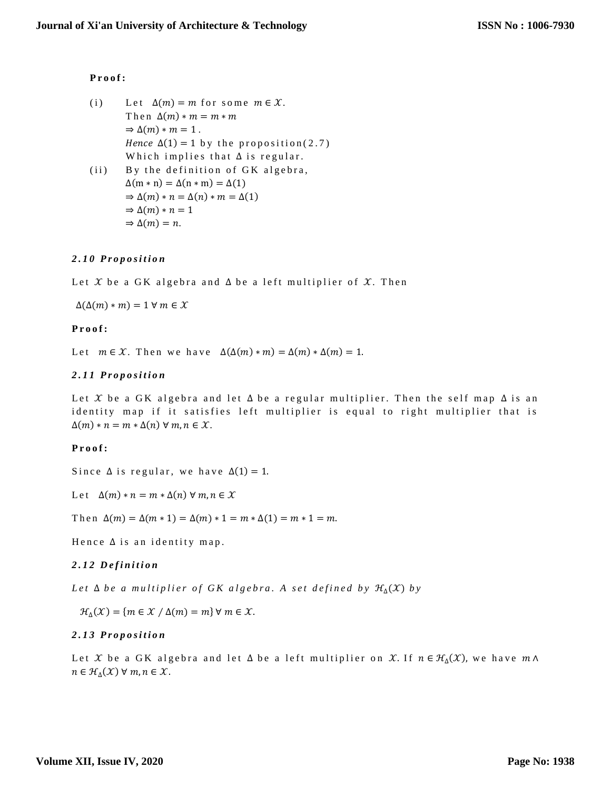## **P r o o f :**

- (i) Let  $\Delta(m) = m$  for some  $m \in \mathcal{X}$ . Then  $\Delta(m) * m = m * m$  $\Rightarrow \Delta(m) * m = 1$ . Hence  $\Delta(1) = 1$  by the proposition (2.7) Which implies that  $\Delta$  is regular.
- $(i)$  By the definition of GK algebra,  $\Delta(m * n) = \Delta(n * m) = \Delta(1)$  $\Rightarrow \Delta(m) * n = \Delta(n) * m = \Delta(1)$  $\Rightarrow \Delta(m) * n = 1$  $\Rightarrow \Delta(m) = n$ .

## *2 . 1 0 P r o p o s i t i o n*

Let X be a GK algebra and  $\Delta$  be a left multiplier of X. Then

 $\Delta(\Delta(m) * m) = 1 \forall m \in \mathcal{X}$ 

## **P r o o f :**

Let  $m \in \mathcal{X}$ . Then we have  $\Delta(\Delta(m) * m) = \Delta(m) * \Delta(m) = 1$ .

## *2 . 1 1 P r o p o s i t i o n*

Let X be a GK algebra and let  $\Delta$  be a regular multiplier. Then the self map  $\Delta$  is an identity map if it satisfies left multiplier is equal to right multiplier that is  $\Delta(m) * n = m * \Delta(n) \forall m, n \in \mathcal{X}.$ 

## **P r o o f :**

Since  $\Delta$  is regular, we have  $\Delta(1) = 1$ .

Let  $\Delta(m) * n = m * \Delta(n) \forall m, n \in \mathcal{X}$ 

Then  $\Delta(m) = \Delta(m * 1) = \Delta(m) * 1 = m * \Delta(1) = m * 1 = m$ .

Hence  $\Delta$  is an identity map.

## *2 . 1 2 D e f i n i t i o n*

*Let*  $\Delta$  *be a multiplier of GK algebra. A set defined by*  $\mathcal{H}_{\Delta}(\mathcal{X})$  *by* 

 $\mathcal{H}_{\Delta}(\mathcal{X}) = \{ m \in \mathcal{X} / \Delta(m) = m \}$   $\forall m \in \mathcal{X}.$ 

## *2 . 1 3 P r o p o s i t i o n*

Let X be a GK algebra and let  $\Delta$  be a left multiplier on X. If  $n \in \mathcal{H}_{\Delta}(\mathcal{X})$ , we have  $m \wedge$  $n \in \mathcal{H}_{\Delta}(\mathcal{X}) \ \forall \ m,n \in \mathcal{X}.$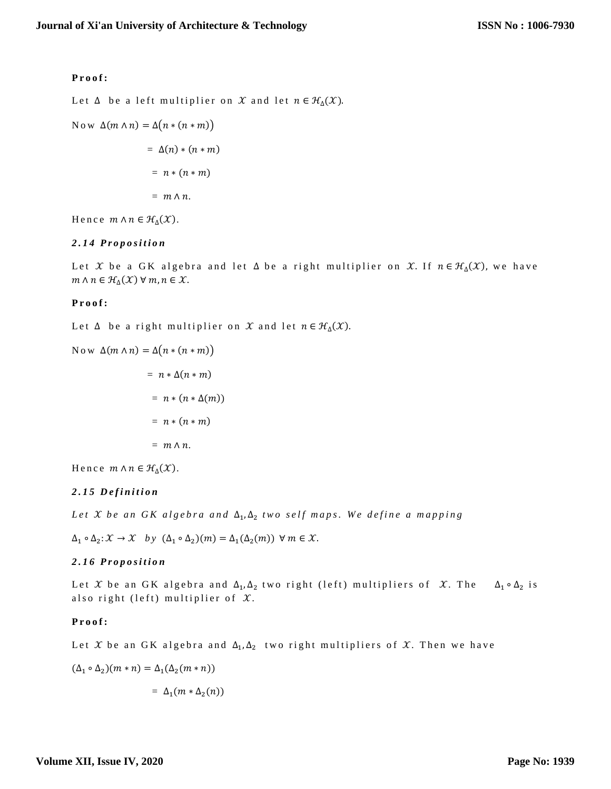### **P r o o f :**

Let  $\Delta$  be a left multiplier on  $\mathcal X$  and let  $n \in \mathcal H_{\Delta}(\mathcal X).$ 

Now  $\Delta(m \wedge n) = \Delta(n * (n * m))$ 

$$
= \Delta(n) * (n * m)
$$

$$
= n * (n * m)
$$

$$
= m \wedge n.
$$

Hence  $m \wedge n \in \mathcal{H}_{\Delta}(\mathcal{X})$ .

## *2 . 1 4 P r o p o s i t i o n*

Let X be a GK algebra and let  $\Delta$  be a right multiplier on X. If  $n \in \mathcal{H}_{\Delta}(\mathcal{X})$ , we have  $m \wedge n \in \mathcal{H}_{\Delta}(\mathcal{X}) \; \forall \; m, n \in \mathcal{X}.$ 

#### Proof:

Let  $\Delta$  be a right multiplier on  $\mathcal X$  and let  $n \in \mathcal H_{\Delta}(\mathcal X).$ 

Now 
$$
\Delta(m \wedge n) = \Delta(n * (n * m))
$$
  
=  $n * \Delta(n * m)$   
=  $n * (n * \Delta(m))$   
=  $n * (n * m)$   
=  $m \wedge n$ .

Hence  $m \wedge n \in \mathcal{H}_{\Delta}(\mathcal{X})$ .

## *2 . 1 5 D e f i n i t i o n*

*Let X be an GK algebra and*  $Δ_1, Δ_2$  *two self maps. We define a mapping* 

 $\Delta_1 \circ \Delta_2 \colon \mathcal{X} \to \mathcal{X}$  by  $(\Delta_1 \circ \Delta_2)(m) = \Delta_1(\Delta_2(m))$  ∀  $m \in \mathcal{X}$ .

## *2 . 1 6 P r o p o s i t i o n*

Let X be an GK algebra and  $\Delta_1, \Delta_2$  two right (left) multipliers of X. The  $\Delta_1 \circ \Delta_2$  is also right (left) multiplier of  $\mathfrak{X}.$ 

## **P r o o f :**

Let  $\mathfrak X$  be an GK algebra and  $\Delta_1, \Delta_2$  two right multipliers of  $\mathfrak X.$  Then we have

$$
(\Delta_1 \circ \Delta_2)(m * n) = \Delta_1(\Delta_2(m * n))
$$
  
= 
$$
\Delta_1(m * \Delta_2(n))
$$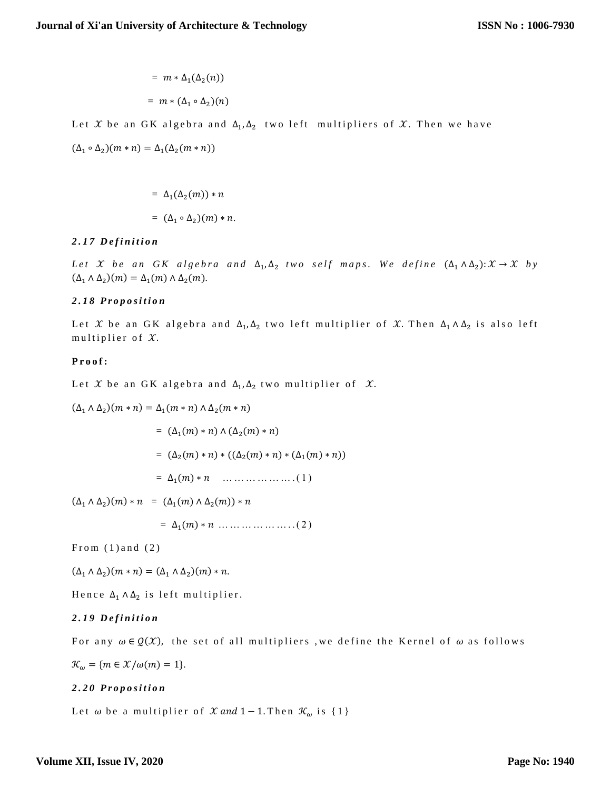$$
= m * \Delta_1(\Delta_2(n))
$$

$$
= m * (\Delta_1 \circ \Delta_2)(n)
$$

Let  $\mathfrak X$  be an GK algebra and  $\Delta_1, \Delta_2$  two left multipliers of  $\mathfrak X.$  Then we have

$$
(\Delta_1 \circ \Delta_2)(m * n) = \Delta_1(\Delta_2(m * n))
$$

$$
= \Delta_1(\Delta_2(m)) * n
$$

$$
= (\Delta_1 \circ \Delta_2)(m) * n.
$$

## *2 . 1 7 D e f i n i t i o n*

Let X be an GK algebra and  $\Delta_1, \Delta_2$  two self maps. We define  $(\Delta_1 \wedge \Delta_2): \mathcal{X} \to \mathcal{X}$  by  $(\Delta_1 \wedge \Delta_2)(m) = \Delta_1(m) \wedge \Delta_2(m).$ 

## *2 . 1 8 P r o p o s i t i o n*

Let X be an GK algebra and  $\Delta_1, \Delta_2$  two left multiplier of X. Then  $\Delta_1 \wedge \Delta_2$  is also left multiplier of  $\mathcal{X}$ .

## **P r o o f :**

Let  $\mathcal X$  be an GK algebra and  $\Delta_1, \Delta_2$  two multiplier of  $\ \mathcal X.$ 

(∆<sup>1</sup> ∧ ∆<sup>2</sup> )( ∗ ) = ∆1( ∗ ) ∧ ∆2( ∗ ) = (∆1() ∗ ) ∧ (∆2() ∗ ) = (∆2() ∗ ) ∗ ((∆2() ∗ ) ∗ (∆1() ∗ )) = ∆1() ∗ … … … … … … . ( 1 ) (∆<sup>1</sup> ∧ ∆<sup>2</sup> )() ∗ = (∆1() ∧ ∆2()) ∗ = ∆1() ∗ … … … … … … . . ( 2 )

From  $(1)$  and  $(2)$ 

 $(\Delta_1 \wedge \Delta_2)(m * n) = (\Delta_1 \wedge \Delta_2)(m) * n.$ 

Hence  $\Delta_1 \wedge \Delta_2$  is left multiplier.

## *2 . 1 9 D e f i n i t i o n*

For any  $\omega \in \mathcal{Q}(\mathcal{X})$ , the set of all multipliers, we define the Kernel of  $\omega$  as follows

 $\mathcal{K}_{\omega} = \{ m \in \mathcal{X}/\omega(m) = 1 \}.$ 

## *2 . 2 0 P r o p o s i t i o n*

Let  $\omega$  be a multiplier of  $\mathcal X$  and 1 - 1. Then  $\mathcal K_{\omega}$  is {1}